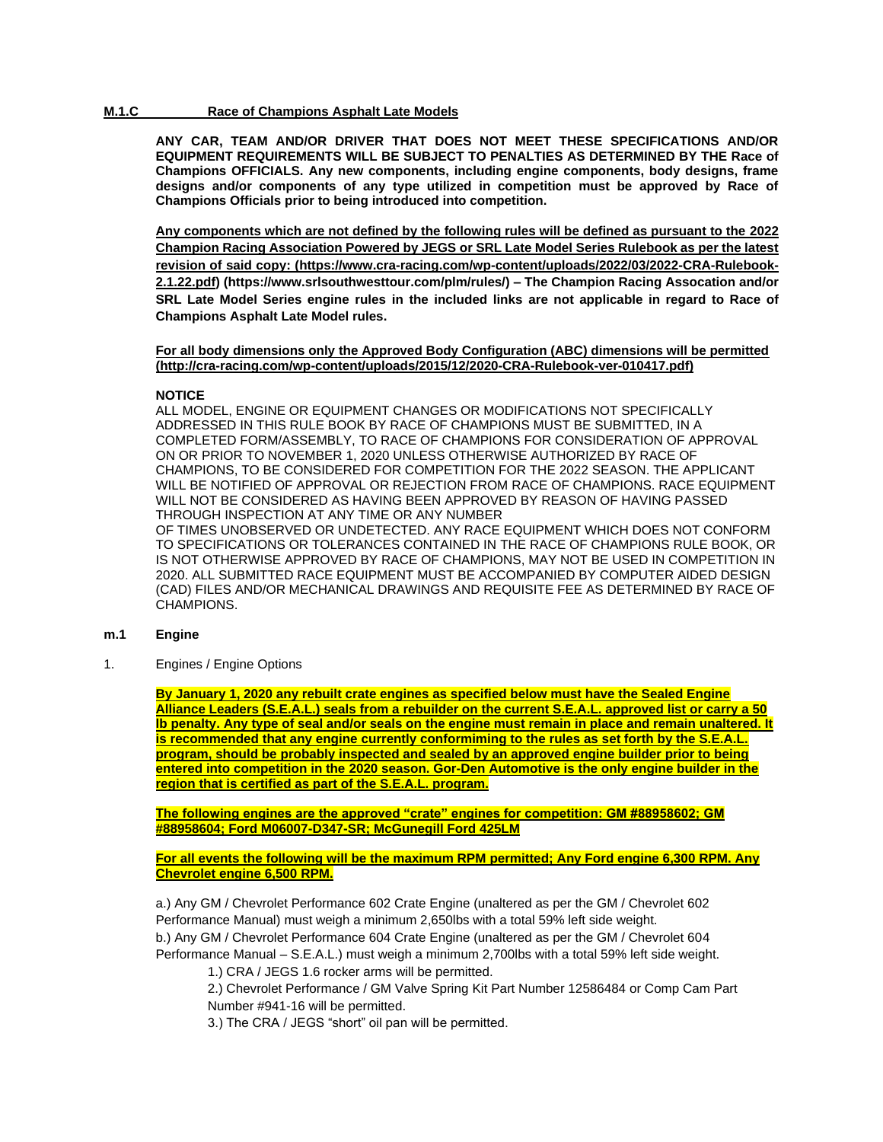### **M.1.C Race of Champions Asphalt Late Models**

**ANY CAR, TEAM AND/OR DRIVER THAT DOES NOT MEET THESE SPECIFICATIONS AND/OR EQUIPMENT REQUIREMENTS WILL BE SUBJECT TO PENALTIES AS DETERMINED BY THE Race of Champions OFFICIALS. Any new components, including engine components, body designs, frame designs and/or components of any type utilized in competition must be approved by Race of Champions Officials prior to being introduced into competition.**

**Any components which are not defined by the following rules will be defined as pursuant to the 2022 Champion Racing Association Powered by JEGS or SRL Late Model Series Rulebook as per the latest revision of said copy: (https://www.cra-racing.com/wp-content/uploads/2022/03/2022-CRA-Rulebook-2.1.22.pdf) (https://www.srlsouthwesttour.com/plm/rules/) – The Champion Racing Assocation and/or SRL Late Model Series engine rules in the included links are not applicable in regard to Race of Champions Asphalt Late Model rules.**

**For all body dimensions only the Approved Body Configuration (ABC) dimensions will be permitted (http://cra-racing.com/wp-content/uploads/2015/12/2020-CRA-Rulebook-ver-010417.pdf)** 

### **NOTICE**

ALL MODEL, ENGINE OR EQUIPMENT CHANGES OR MODIFICATIONS NOT SPECIFICALLY ADDRESSED IN THIS RULE BOOK BY RACE OF CHAMPIONS MUST BE SUBMITTED, IN A COMPLETED FORM/ASSEMBLY, TO RACE OF CHAMPIONS FOR CONSIDERATION OF APPROVAL ON OR PRIOR TO NOVEMBER 1, 2020 UNLESS OTHERWISE AUTHORIZED BY RACE OF CHAMPIONS, TO BE CONSIDERED FOR COMPETITION FOR THE 2022 SEASON. THE APPLICANT WILL BE NOTIFIED OF APPROVAL OR REJECTION FROM RACE OF CHAMPIONS. RACE EQUIPMENT WILL NOT BE CONSIDERED AS HAVING BEEN APPROVED BY REASON OF HAVING PASSED THROUGH INSPECTION AT ANY TIME OR ANY NUMBER OF TIMES UNOBSERVED OR UNDETECTED. ANY RACE EQUIPMENT WHICH DOES NOT CONFORM TO SPECIFICATIONS OR TOLERANCES CONTAINED IN THE RACE OF CHAMPIONS RULE BOOK, OR

IS NOT OTHERWISE APPROVED BY RACE OF CHAMPIONS, MAY NOT BE USED IN COMPETITION IN 2020. ALL SUBMITTED RACE EQUIPMENT MUST BE ACCOMPANIED BY COMPUTER AIDED DESIGN (CAD) FILES AND/OR MECHANICAL DRAWINGS AND REQUISITE FEE AS DETERMINED BY RACE OF CHAMPIONS.

### **m.1 Engine**

1. Engines / Engine Options

**By January 1, 2020 any rebuilt crate engines as specified below must have the Sealed Engine Alliance Leaders (S.E.A.L.) seals from a rebuilder on the current S.E.A.L. approved list or carry a 50 lb penalty. Any type of seal and/or seals on the engine must remain in place and remain unaltered. It is recommended that any engine currently conformiming to the rules as set forth by the S.E.A.L. program, should be probably inspected and sealed by an approved engine builder prior to being entered into competition in the 2020 season. Gor-Den Automotive is the only engine builder in the region that is certified as part of the S.E.A.L. program.**

**The following engines are the approved "crate" engines for competition: GM #88958602; GM #88958604; Ford M06007-D347-SR; McGunegill Ford 425LM**

**For all events the following will be the maximum RPM permitted; Any Ford engine 6,300 RPM. Any Chevrolet engine 6,500 RPM.**

a.) Any GM / Chevrolet Performance 602 Crate Engine (unaltered as per the GM / Chevrolet 602 Performance Manual) must weigh a minimum 2,650lbs with a total 59% left side weight. b.) Any GM / Chevrolet Performance 604 Crate Engine (unaltered as per the GM / Chevrolet 604 Performance Manual – S.E.A.L.) must weigh a minimum 2,700lbs with a total 59% left side weight.

1.) CRA / JEGS 1.6 rocker arms will be permitted.

2.) Chevrolet Performance / GM Valve Spring Kit Part Number 12586484 or Comp Cam Part Number #941-16 will be permitted.

3.) The CRA / JEGS "short" oil pan will be permitted.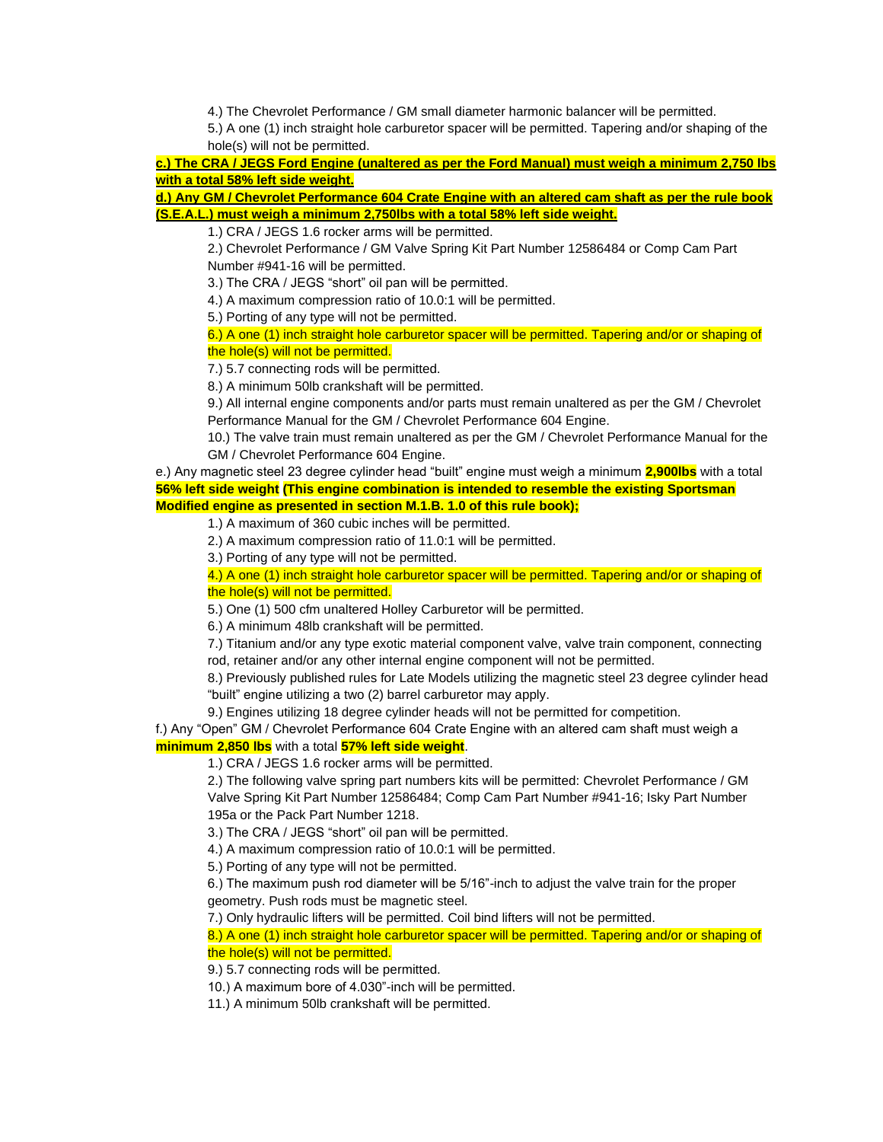4.) The Chevrolet Performance / GM small diameter harmonic balancer will be permitted.

5.) A one (1) inch straight hole carburetor spacer will be permitted. Tapering and/or shaping of the hole(s) will not be permitted.

**c.) The CRA / JEGS Ford Engine (unaltered as per the Ford Manual) must weigh a minimum 2,750 lbs with a total 58% left side weight.**

**d.) Any GM / Chevrolet Performance 604 Crate Engine with an altered cam shaft as per the rule book (S.E.A.L.) must weigh a minimum 2,750lbs with a total 58% left side weight.**

1.) CRA / JEGS 1.6 rocker arms will be permitted.

2.) Chevrolet Performance / GM Valve Spring Kit Part Number 12586484 or Comp Cam Part Number #941-16 will be permitted.

3.) The CRA / JEGS "short" oil pan will be permitted.

4.) A maximum compression ratio of 10.0:1 will be permitted.

5.) Porting of any type will not be permitted.

6.) A one (1) inch straight hole carburetor spacer will be permitted. Tapering and/or or shaping of the hole(s) will not be permitted.

7.) 5.7 connecting rods will be permitted.

8.) A minimum 50lb crankshaft will be permitted.

9.) All internal engine components and/or parts must remain unaltered as per the GM / Chevrolet Performance Manual for the GM / Chevrolet Performance 604 Engine.

10.) The valve train must remain unaltered as per the GM / Chevrolet Performance Manual for the GM / Chevrolet Performance 604 Engine.

e.) Any magnetic steel 23 degree cylinder head "built" engine must weigh a minimum **2,900lbs** with a total **56% left side weight (This engine combination is intended to resemble the existing Sportsman Modified engine as presented in section M.1.B. 1.0 of this rule book);**

1.) A maximum of 360 cubic inches will be permitted.

2.) A maximum compression ratio of 11.0:1 will be permitted.

3.) Porting of any type will not be permitted.

4.) A one (1) inch straight hole carburetor spacer will be permitted. Tapering and/or or shaping of the hole(s) will not be permitted.

5.) One (1) 500 cfm unaltered Holley Carburetor will be permitted.

6.) A minimum 48lb crankshaft will be permitted.

7.) Titanium and/or any type exotic material component valve, valve train component, connecting rod, retainer and/or any other internal engine component will not be permitted.

8.) Previously published rules for Late Models utilizing the magnetic steel 23 degree cylinder head "built" engine utilizing a two (2) barrel carburetor may apply.

9.) Engines utilizing 18 degree cylinder heads will not be permitted for competition.

f.) Any "Open" GM / Chevrolet Performance 604 Crate Engine with an altered cam shaft must weigh a **minimum 2,850 lbs** with a total **57% left side weight**.

1.) CRA / JEGS 1.6 rocker arms will be permitted.

2.) The following valve spring part numbers kits will be permitted: Chevrolet Performance / GM Valve Spring Kit Part Number 12586484; Comp Cam Part Number #941-16; Isky Part Number 195a or the Pack Part Number 1218.

3.) The CRA / JEGS "short" oil pan will be permitted.

4.) A maximum compression ratio of 10.0:1 will be permitted.

5.) Porting of any type will not be permitted.

6.) The maximum push rod diameter will be 5/16"-inch to adjust the valve train for the proper geometry. Push rods must be magnetic steel.

7.) Only hydraulic lifters will be permitted. Coil bind lifters will not be permitted.

8.) A one (1) inch straight hole carburetor spacer will be permitted. Tapering and/or or shaping of the hole(s) will not be permitted.

9.) 5.7 connecting rods will be permitted.

10.) A maximum bore of 4.030"-inch will be permitted.

11.) A minimum 50lb crankshaft will be permitted.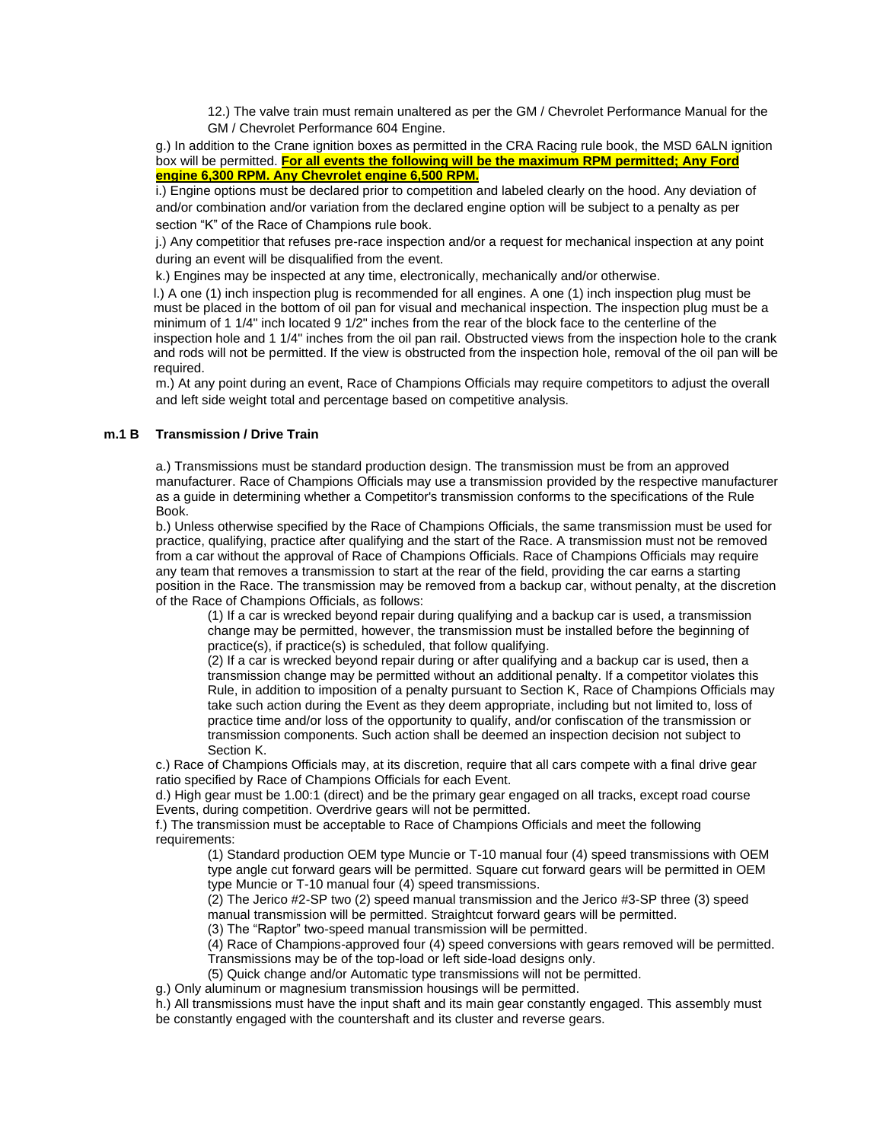12.) The valve train must remain unaltered as per the GM / Chevrolet Performance Manual for the GM / Chevrolet Performance 604 Engine.

g.) In addition to the Crane ignition boxes as permitted in the CRA Racing rule book, the MSD 6ALN ignition box will be permitted. **For all events the following will be the maximum RPM permitted; Any Ford engine 6,300 RPM. Any Chevrolet engine 6,500 RPM.**

i.) Engine options must be declared prior to competition and labeled clearly on the hood. Any deviation of and/or combination and/or variation from the declared engine option will be subject to a penalty as per section "K" of the Race of Champions rule book.

j.) Any competitior that refuses pre-race inspection and/or a request for mechanical inspection at any point during an event will be disqualified from the event.

k.) Engines may be inspected at any time, electronically, mechanically and/or otherwise.

l.) A one (1) inch inspection plug is recommended for all engines. A one (1) inch inspection plug must be must be placed in the bottom of oil pan for visual and mechanical inspection. The inspection plug must be a minimum of 1 1/4" inch located 9 1/2" inches from the rear of the block face to the centerline of the inspection hole and 1 1/4" inches from the oil pan rail. Obstructed views from the inspection hole to the crank and rods will not be permitted. If the view is obstructed from the inspection hole, removal of the oil pan will be required.

m.) At any point during an event, Race of Champions Officials may require competitors to adjust the overall and left side weight total and percentage based on competitive analysis.

### **m.1 B Transmission / Drive Train**

a.) Transmissions must be standard production design. The transmission must be from an approved manufacturer. Race of Champions Officials may use a transmission provided by the respective manufacturer as a guide in determining whether a Competitor's transmission conforms to the specifications of the Rule Book.

b.) Unless otherwise specified by the Race of Champions Officials, the same transmission must be used for practice, qualifying, practice after qualifying and the start of the Race. A transmission must not be removed from a car without the approval of Race of Champions Officials. Race of Champions Officials may require any team that removes a transmission to start at the rear of the field, providing the car earns a starting position in the Race. The transmission may be removed from a backup car, without penalty, at the discretion of the Race of Champions Officials, as follows:

(1) If a car is wrecked beyond repair during qualifying and a backup car is used, a transmission change may be permitted, however, the transmission must be installed before the beginning of practice(s), if practice(s) is scheduled, that follow qualifying.

(2) If a car is wrecked beyond repair during or after qualifying and a backup car is used, then a transmission change may be permitted without an additional penalty. If a competitor violates this Rule, in addition to imposition of a penalty pursuant to Section K, Race of Champions Officials may take such action during the Event as they deem appropriate, including but not limited to, loss of practice time and/or loss of the opportunity to qualify, and/or confiscation of the transmission or transmission components. Such action shall be deemed an inspection decision not subject to Section K.

c.) Race of Champions Officials may, at its discretion, require that all cars compete with a final drive gear ratio specified by Race of Champions Officials for each Event.

d.) High gear must be 1.00:1 (direct) and be the primary gear engaged on all tracks, except road course Events, during competition. Overdrive gears will not be permitted.

f.) The transmission must be acceptable to Race of Champions Officials and meet the following requirements:

(1) Standard production OEM type Muncie or T-10 manual four (4) speed transmissions with OEM type angle cut forward gears will be permitted. Square cut forward gears will be permitted in OEM type Muncie or T-10 manual four (4) speed transmissions.

(2) The Jerico #2-SP two (2) speed manual transmission and the Jerico #3-SP three (3) speed manual transmission will be permitted. Straightcut forward gears will be permitted.

(3) The "Raptor" two-speed manual transmission will be permitted.

(4) Race of Champions-approved four (4) speed conversions with gears removed will be permitted. Transmissions may be of the top-load or left side-load designs only.

(5) Quick change and/or Automatic type transmissions will not be permitted.

g.) Only aluminum or magnesium transmission housings will be permitted.

h.) All transmissions must have the input shaft and its main gear constantly engaged. This assembly must be constantly engaged with the countershaft and its cluster and reverse gears.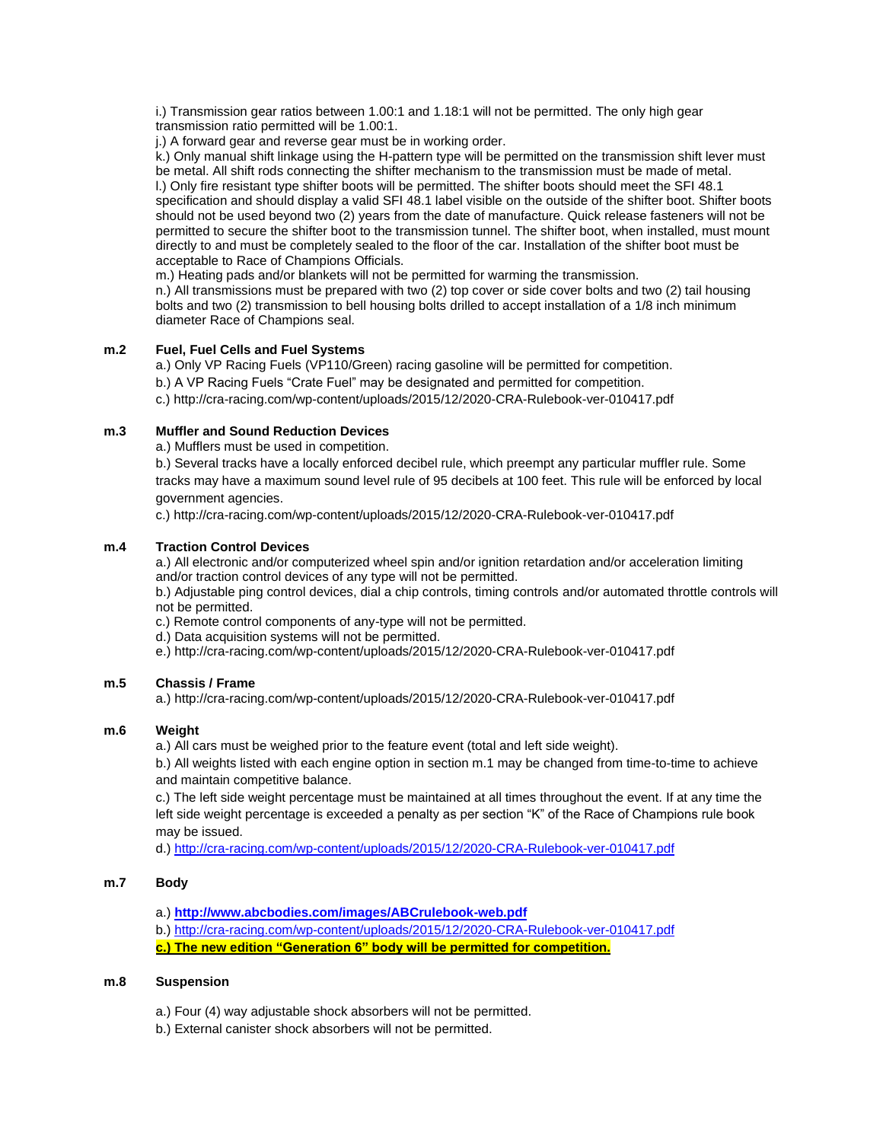i.) Transmission gear ratios between 1.00:1 and 1.18:1 will not be permitted. The only high gear transmission ratio permitted will be 1.00:1.

j.) A forward gear and reverse gear must be in working order.

k.) Only manual shift linkage using the H-pattern type will be permitted on the transmission shift lever must be metal. All shift rods connecting the shifter mechanism to the transmission must be made of metal. l.) Only fire resistant type shifter boots will be permitted. The shifter boots should meet the SFI 48.1 specification and should display a valid SFI 48.1 label visible on the outside of the shifter boot. Shifter boots should not be used beyond two (2) years from the date of manufacture. Quick release fasteners will not be permitted to secure the shifter boot to the transmission tunnel. The shifter boot, when installed, must mount directly to and must be completely sealed to the floor of the car. Installation of the shifter boot must be acceptable to Race of Champions Officials.

m.) Heating pads and/or blankets will not be permitted for warming the transmission.

n.) All transmissions must be prepared with two (2) top cover or side cover bolts and two (2) tail housing bolts and two (2) transmission to bell housing bolts drilled to accept installation of a 1/8 inch minimum diameter Race of Champions seal.

# **m.2 Fuel, Fuel Cells and Fuel Systems**

a.) Only VP Racing Fuels (VP110/Green) racing gasoline will be permitted for competition.

b.) A VP Racing Fuels "Crate Fuel" may be designated and permitted for competition.

c.) http://cra-racing.com/wp-content/uploads/2015/12/2020-CRA-Rulebook-ver-010417.pdf

## **m.3 Muffler and Sound Reduction Devices**

a.) Mufflers must be used in competition.

b.) Several tracks have a locally enforced decibel rule, which preempt any particular muffler rule. Some tracks may have a maximum sound level rule of 95 decibels at 100 feet. This rule will be enforced by local government agencies.

c.) http://cra-racing.com/wp-content/uploads/2015/12/2020-CRA-Rulebook-ver-010417.pdf

## **m.4 Traction Control Devices**

a.) All electronic and/or computerized wheel spin and/or ignition retardation and/or acceleration limiting and/or traction control devices of any type will not be permitted.

b.) Adjustable ping control devices, dial a chip controls, timing controls and/or automated throttle controls will not be permitted.

c.) Remote control components of any-type will not be permitted.

d.) Data acquisition systems will not be permitted.

e.) http://cra-racing.com/wp-content/uploads/2015/12/2020-CRA-Rulebook-ver-010417.pdf

## **m.5 Chassis / Frame**

a.) http://cra-racing.com/wp-content/uploads/2015/12/2020-CRA-Rulebook-ver-010417.pdf

### **m.6 Weight**

a.) All cars must be weighed prior to the feature event (total and left side weight).

b.) All weights listed with each engine option in section m.1 may be changed from time-to-time to achieve and maintain competitive balance.

c.) The left side weight percentage must be maintained at all times throughout the event. If at any time the left side weight percentage is exceeded a penalty as per section "K" of the Race of Champions rule book may be issued.

d.) [http://cra-racing.com/wp-content/uploads/2015/12/2020-CRA-Rulebook-ver-010417.pdf](http://cra-racing.com/wp-content/uploads/2015/12/2017-CRA-Rulebook-ver-010417.pdf)

### **m.7 Body**

- a.) **<http://www.abcbodies.com/images/ABCrulebook-web.pdf>**
- b.) [http://cra-racing.com/wp-content/uploads/2015/12/2020-CRA-Rulebook-ver-010417.pdf](http://cra-racing.com/wp-content/uploads/2015/12/2017-CRA-Rulebook-ver-010417.pdf)
- **c.) The new edition "Generation 6" body will be permitted for competition.**

### **m.8 Suspension**

- a.) Four (4) way adjustable shock absorbers will not be permitted.
- b.) External canister shock absorbers will not be permitted.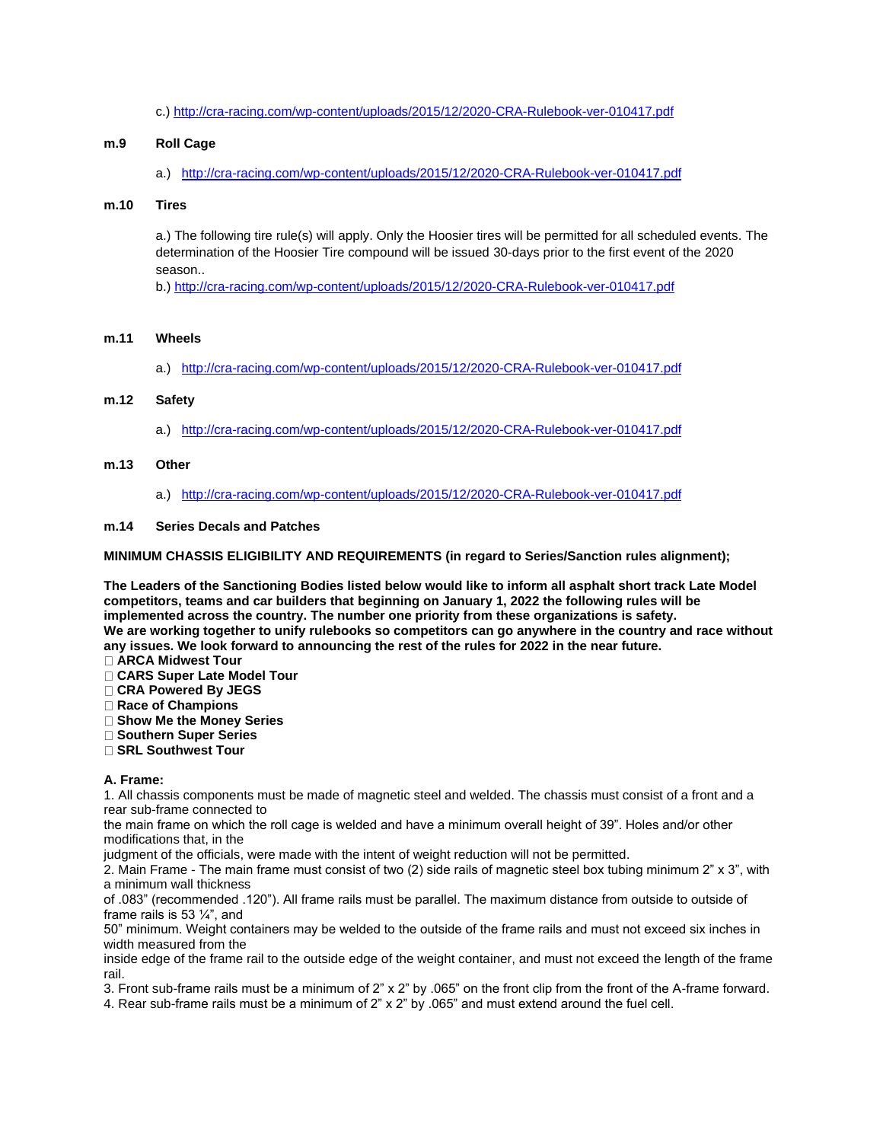c.[\) http://cra-racing.com/wp-content/uploads/2015/12/2020-CRA-Rulebook-ver-010417.pdf](http://cra-racing.com/wp-content/uploads/2015/12/2017-CRA-Rulebook-ver-010417.pdf)

### **m.9 Roll Cage**

a.) [http://cra-racing.com/wp-content/uploads/2015/12/2020-CRA-Rulebook-ver-010417.pdf](http://cra-racing.com/wp-content/uploads/2015/12/2017-CRA-Rulebook-ver-010417.pdf)

#### **m.10 Tires**

a.) The following tire rule(s) will apply. Only the Hoosier tires will be permitted for all scheduled events. The determination of the Hoosier Tire compound will be issued 30-days prior to the first event of the 2020 season..

b.) [http://cra-racing.com/wp-content/uploads/2015/12/2020-CRA-Rulebook-ver-010417.pdf](http://cra-racing.com/wp-content/uploads/2015/12/2017-CRA-Rulebook-ver-010417.pdf)

### **m.11 Wheels**

a.) [http://cra-racing.com/wp-content/uploads/2015/12/2020-CRA-Rulebook-ver-010417.pdf](http://cra-racing.com/wp-content/uploads/2015/12/2017-CRA-Rulebook-ver-010417.pdf)

### **m.12 Safety**

a.) [http://cra-racing.com/wp-content/uploads/2015/12/2020-CRA-Rulebook-ver-010417.pdf](http://cra-racing.com/wp-content/uploads/2015/12/2017-CRA-Rulebook-ver-010417.pdf)

#### **m.13 Other**

a.) [http://cra-racing.com/wp-content/uploads/2015/12/2020-CRA-Rulebook-ver-010417.pdf](http://cra-racing.com/wp-content/uploads/2015/12/2017-CRA-Rulebook-ver-010417.pdf)

#### **m.14 Series Decals and Patches**

**MINIMUM CHASSIS ELIGIBILITY AND REQUIREMENTS (in regard to Series/Sanction rules alignment);**

**The Leaders of the Sanctioning Bodies listed below would like to inform all asphalt short track Late Model competitors, teams and car builders that beginning on January 1, 2022 the following rules will be implemented across the country. The number one priority from these organizations is safety. We are working together to unify rulebooks so competitors can go anywhere in the country and race without any issues. We look forward to announcing the rest of the rules for 2022 in the near future.**

- **ARCA Midwest Tour**
- **CARS Super Late Model Tour**
- **CRA Powered By JEGS**
- **Race of Champions**
- **Show Me the Money Series**
- **Southern Super Series**
- **SRL Southwest Tour**

### **A. Frame:**

1. All chassis components must be made of magnetic steel and welded. The chassis must consist of a front and a rear sub-frame connected to

the main frame on which the roll cage is welded and have a minimum overall height of 39". Holes and/or other modifications that, in the

judgment of the officials, were made with the intent of weight reduction will not be permitted.

2. Main Frame - The main frame must consist of two (2) side rails of magnetic steel box tubing minimum 2" x 3", with a minimum wall thickness

of .083" (recommended .120"). All frame rails must be parallel. The maximum distance from outside to outside of frame rails is 53 ¼", and

50" minimum. Weight containers may be welded to the outside of the frame rails and must not exceed six inches in width measured from the

inside edge of the frame rail to the outside edge of the weight container, and must not exceed the length of the frame rail.

3. Front sub-frame rails must be a minimum of 2" x 2" by .065" on the front clip from the front of the A-frame forward. 4. Rear sub-frame rails must be a minimum of 2" x 2" by .065" and must extend around the fuel cell.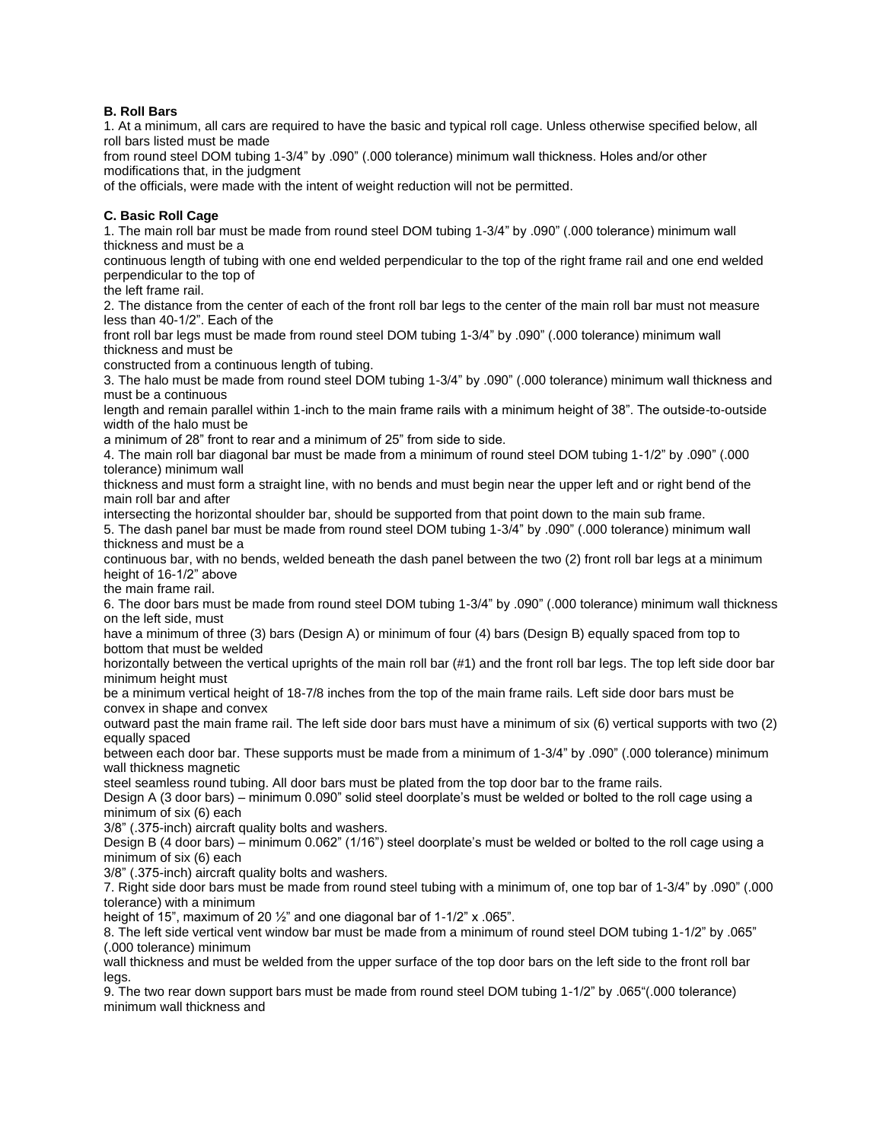## **B. Roll Bars**

1. At a minimum, all cars are required to have the basic and typical roll cage. Unless otherwise specified below, all roll bars listed must be made

from round steel DOM tubing 1-3/4" by .090" (.000 tolerance) minimum wall thickness. Holes and/or other modifications that, in the judgment

of the officials, were made with the intent of weight reduction will not be permitted.

### **C. Basic Roll Cage**

1. The main roll bar must be made from round steel DOM tubing 1-3/4" by .090" (.000 tolerance) minimum wall thickness and must be a

continuous length of tubing with one end welded perpendicular to the top of the right frame rail and one end welded perpendicular to the top of

the left frame rail.

2. The distance from the center of each of the front roll bar legs to the center of the main roll bar must not measure less than 40-1/2". Each of the

front roll bar legs must be made from round steel DOM tubing 1-3/4" by .090" (.000 tolerance) minimum wall thickness and must be

constructed from a continuous length of tubing.

3. The halo must be made from round steel DOM tubing 1-3/4" by .090" (.000 tolerance) minimum wall thickness and must be a continuous

length and remain parallel within 1-inch to the main frame rails with a minimum height of 38". The outside-to-outside width of the halo must be

a minimum of 28" front to rear and a minimum of 25" from side to side.

4. The main roll bar diagonal bar must be made from a minimum of round steel DOM tubing 1-1/2" by .090" (.000 tolerance) minimum wall

thickness and must form a straight line, with no bends and must begin near the upper left and or right bend of the main roll bar and after

intersecting the horizontal shoulder bar, should be supported from that point down to the main sub frame.

5. The dash panel bar must be made from round steel DOM tubing 1-3/4" by .090" (.000 tolerance) minimum wall thickness and must be a

continuous bar, with no bends, welded beneath the dash panel between the two (2) front roll bar legs at a minimum height of 16-1/2" above

the main frame rail.

6. The door bars must be made from round steel DOM tubing 1-3/4" by .090" (.000 tolerance) minimum wall thickness on the left side, must

have a minimum of three (3) bars (Design A) or minimum of four (4) bars (Design B) equally spaced from top to bottom that must be welded

horizontally between the vertical uprights of the main roll bar (#1) and the front roll bar legs. The top left side door bar minimum height must

be a minimum vertical height of 18-7/8 inches from the top of the main frame rails. Left side door bars must be convex in shape and convex

outward past the main frame rail. The left side door bars must have a minimum of six (6) vertical supports with two (2) equally spaced

between each door bar. These supports must be made from a minimum of 1-3/4" by .090" (.000 tolerance) minimum wall thickness magnetic

steel seamless round tubing. All door bars must be plated from the top door bar to the frame rails.

Design A (3 door bars) – minimum 0.090" solid steel doorplate's must be welded or bolted to the roll cage using a minimum of six (6) each

3/8" (.375-inch) aircraft quality bolts and washers.

Design B (4 door bars) – minimum 0.062" (1/16") steel doorplate's must be welded or bolted to the roll cage using a minimum of six (6) each

3/8" (.375-inch) aircraft quality bolts and washers.

7. Right side door bars must be made from round steel tubing with a minimum of, one top bar of 1-3/4" by .090" (.000 tolerance) with a minimum

height of 15", maximum of 20  $\frac{1}{2}$ " and one diagonal bar of 1-1/2" x .065".

8. The left side vertical vent window bar must be made from a minimum of round steel DOM tubing 1-1/2" by .065" (.000 tolerance) minimum

wall thickness and must be welded from the upper surface of the top door bars on the left side to the front roll bar legs.

9. The two rear down support bars must be made from round steel DOM tubing 1-1/2" by .065"(.000 tolerance) minimum wall thickness and